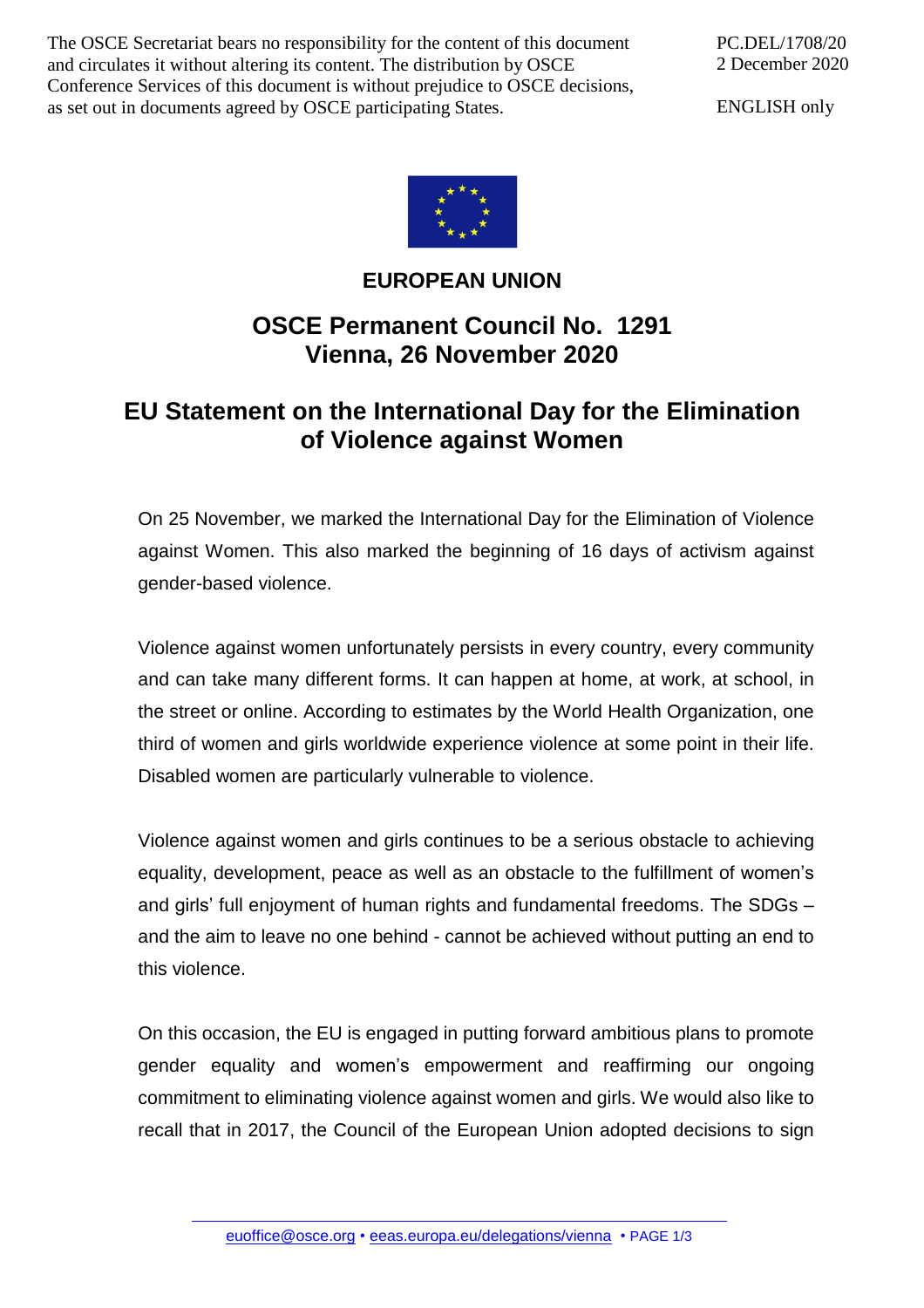The OSCE Secretariat bears no responsibility for the content of this document and circulates it without altering its content. The distribution by OSCE Conference Services of this document is without prejudice to OSCE decisions, as set out in documents agreed by OSCE participating States.

ENGLISH only



## **EUROPEAN UNION**

## **OSCE Permanent Council No. 1291 Vienna, 26 November 2020**

## **EU Statement on the International Day for the Elimination of Violence against Women**

On 25 November, we marked the International Day for the Elimination of Violence against Women. This also marked the beginning of 16 days of activism against gender-based violence.

Violence against women unfortunately persists in every country, every community and can take many different forms. It can happen at home, at work, at school, in the street or online. According to estimates by the World Health Organization, one third of women and girls worldwide experience violence at some point in their life. Disabled women are particularly vulnerable to violence.

Violence against women and girls continues to be a serious obstacle to achieving equality, development, peace as well as an obstacle to the fulfillment of women's and girls' full enjoyment of human rights and fundamental freedoms. The SDGs – and the aim to leave no one behind - cannot be achieved without putting an end to this violence.

On this occasion, the EU is engaged in putting forward ambitious plans to promote gender equality and women's empowerment and reaffirming our ongoing commitment to eliminating violence against women and girls. We would also like to recall that in 2017, the Council of the European Union adopted decisions to sign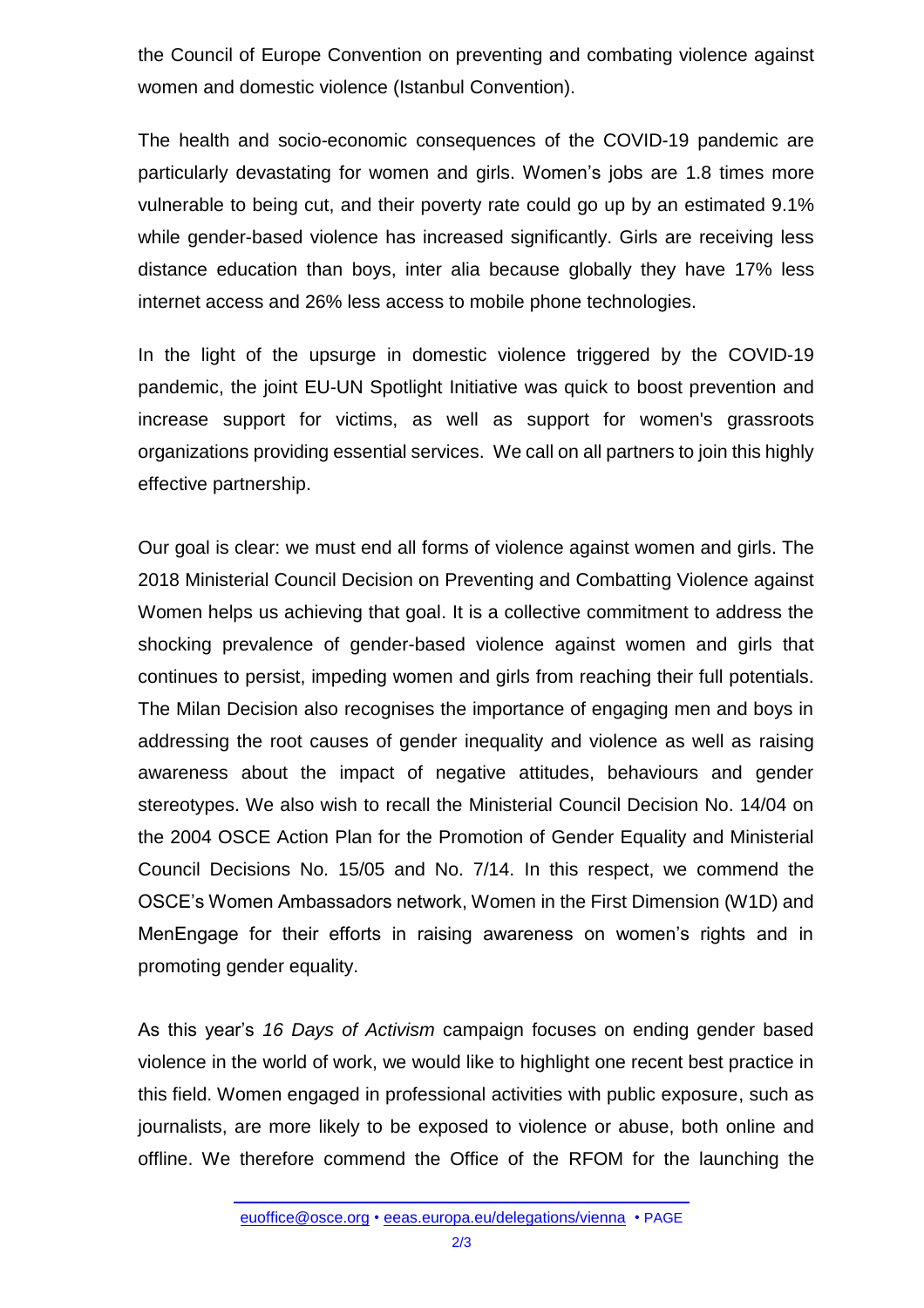the Council of Europe Convention on preventing and combating violence against women and domestic violence (Istanbul Convention).

The health and socio-economic consequences of the COVID-19 pandemic are particularly devastating for women and girls. Women's jobs are 1.8 times more vulnerable to being cut, and their poverty rate could go up by an estimated 9.1% while gender-based violence has increased significantly. Girls are receiving less distance education than boys, inter alia because globally they have 17% less internet access and 26% less access to mobile phone technologies.

In the light of the upsurge in domestic violence triggered by the COVID-19 pandemic, the joint EU-UN Spotlight Initiative was quick to boost prevention and increase support for victims, as well as support for women's grassroots organizations providing essential services. We call on all partners to join this highly effective partnership.

Our goal is clear: we must end all forms of violence against women and girls. The 2018 Ministerial Council Decision on Preventing and Combatting Violence against Women helps us achieving that goal. It is a collective commitment to address the shocking prevalence of gender-based violence against women and girls that continues to persist, impeding women and girls from reaching their full potentials. The Milan Decision also recognises the importance of engaging men and boys in addressing the root causes of gender inequality and violence as well as raising awareness about the impact of negative attitudes, behaviours and gender stereotypes. We also wish to recall the Ministerial Council Decision No. 14/04 on the 2004 OSCE Action Plan for the Promotion of Gender Equality and Ministerial Council Decisions No. 15/05 and No. 7/14. In this respect, we commend the OSCE's Women Ambassadors network, Women in the First Dimension (W1D) and MenEngage for their efforts in raising awareness on women's rights and in promoting gender equality.

As this year's *16 Days of Activism* campaign focuses on ending gender based violence in the world of work, we would like to highlight one recent best practice in this field. Women engaged in professional activities with public exposure, such as journalists, are more likely to be exposed to violence or abuse, both online and offline. We therefore commend the Office of the RFOM for the launching the